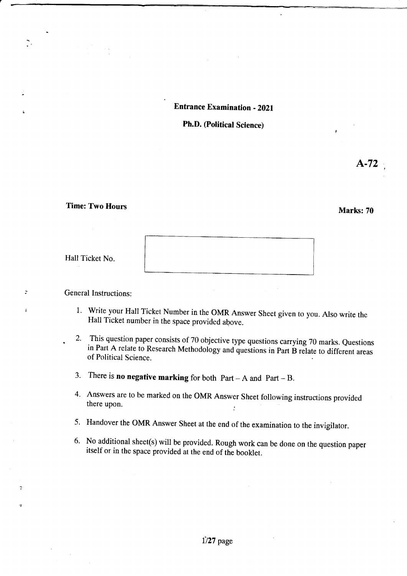### Entrance Examination - 202!

## Ph.D. (Political Science)

# Time: Two Hours Marks: 70

|  | Hall Ticket No. |  |
|--|-----------------|--|
|--|-----------------|--|

 $\overline{z}$ 

 $\ddot{ }$ 

## General Instructions:

- 1' Write your Hall Ticket Number in the OMR Answer Sheet given to you. Also write the Hall Ticket number in the space provided above.
- 2. This question paper consists of 70 objective type questions carrying 70 marks. Questions in Part A relate to Research Methodology and questions in Part B relate to different areas of Political Science.
- 3. There is **no negative marking** for both  $Part A$  and  $Part B$ .
- 4. Answers are to be marked on the OMR Answer Sheet following instructions provided there upon. :
- 5. Handover the OMR Answer Sheet at the end of the examination to the invigilator.
- 6. No additional sheet(s) will be provided. Rough work can be done on the question paper itself or in the space provided at the end of the booklet.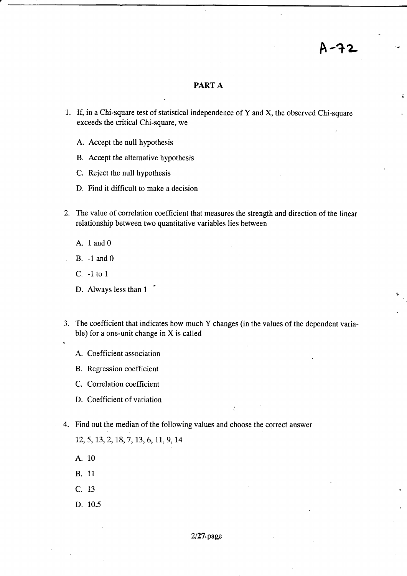## PART A

 $A - 2$ 

- 1. If, in a Chi-square test of statistical independence of Y and X, the observed Chi-square exceeds the critical Chi-square, we
	- A. Accept the null hypothesis
	- B. Accept the alternative hypothesis
	- C. Reject the null hypothesis
	- D. Find it difficult to make a decision
- 2. The value of correlation coefficient that measures the strength and direction of the linear relationship between two quantitative variables lies between
	- A. 1 and 0
	- B. -L and 0
	- C. -1 to1
	- D. Always less than 1
- 3. The coefficient that indicates how much Y changes (in the values of the dependent varia- . ble) for a one-unit change in  $X$  is called

;

- A. Coefficient association
- B. Regression coefficient
- C. Correlation coefficient
- D. Coefficient of variation
- 4. Find out the median of the following values and choose the correct answer

12, 5, 13, 2, 18, 7, 13, 6, 11, 9, 14

- A. <sup>10</sup>
- B. <sup>11</sup>
- c. <sup>13</sup>
- D. 10.5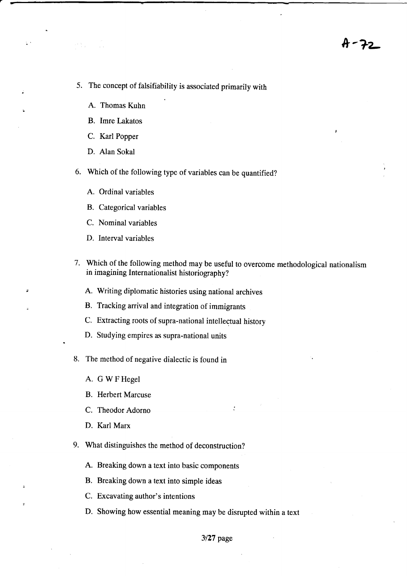H - 72

- 5. The concept of falsifiability is associated primarily with
	- A. Thomas Kuhn

 $\epsilon$  .

- B. Imre Lakatos
- C. Karl Popper
- D. Alan Sokal
- 6. Which of the following type of variables can be quantified?
	- A. Ordinal variables
	- B. Categorical variables
	- C. Nominal variables
	- D. Interval variables
- 7. Which of the following method may be useful to overcome methodological nationalism in imagining Internationalist historiography?

 $\ddot{\cdot}$ 

- A. Writing diplomatic histories using national archives
- B. Tracking arrival and integration of immigrants
- C. Extracting roots of supra-national intellectual history
- D. Studying empires as supra-national units
- 8. The method of negative dialectic is found in
	- A. GWFHegel
	- B. Herbert Marcuse
	- C. Theodor Adorno
	- D. Karl Marx
- 9. What distinguishes the method of deconstruction?
	- A. Breaking down a text into basic components
	- B. Breaking down a text into simple ideas
	- C. Excavating author's intentions
	- D. Showing how essential meaning may be disrupted within a text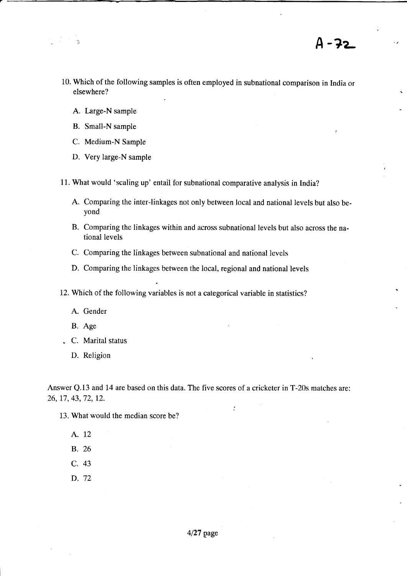- A 72
- 10. Which of the following samples is often employed in subnational comparison in India or elsewhere?
	- A. Large-N sample
	- B. Small-N sample
	- C. Medium-N Sample
	- D. Very large-N sample
- 11. What would 'scaling up' entail for subnational comparative analysis in India?
	- A. Comparing the inter-linkages not only between local and national levels but also beyond
	- B. Comparing the linkages within and across subnational levels but also across the national levels
	- C. Comparing the linkages between subnational and national levels
	- D. Comparing the linkages between the local, regional and national levels
- 12. Which of the following variables is not a categorical variable in statistics?
	- A. Gender
	- B. Age
- . C. Marital status
	- D. Religion

Answer Q.13 and 14 are based on this data. The five scores of a cricketer in T-20s matches are: 26, 17,43,72, 12.

- 13. What would the median score be?
	- A. <sup>12</sup>
	- B. 26
	- c. <sup>43</sup>
	- D. 72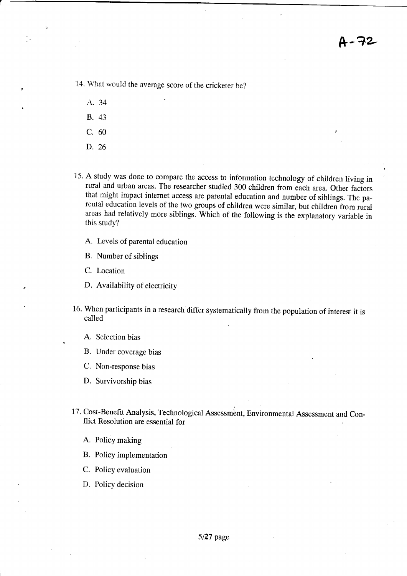14. What would the average score of the cricketer be?

- A. <sup>34</sup> B. <sup>43</sup>
- 
- c. <sup>60</sup>
- D. 26
- 15. A study was done to compare the access to information technology of children living in rural and urban areas. The researcher studied 300 children from eich area. Other factors that might impact internet access are parental education and number of siblings. The parerttal education levels of the two groups of children were similar, but children from rural areas had relatively more siblings. Which of the following is the explanatory variable in this study?
	- A. Levels of parental education
	- B. Number of sibiings
	- C. Location
	- D. Availability of electricity
- 16. When participants in a research differ systematically from the population of interest it is called
	- A. Selection bias
	- B. Under coverage bias
	- C. Non-response bias
	- D. Survivorship bias
- 17. Cost-Benefit Analysis, Technological Assessment, Environmental Assessment and Conflict Resolution are essential for
	- A. Policy making
	- B. Policy implementation
	- C. Policy evaluation
	- D. Policy decision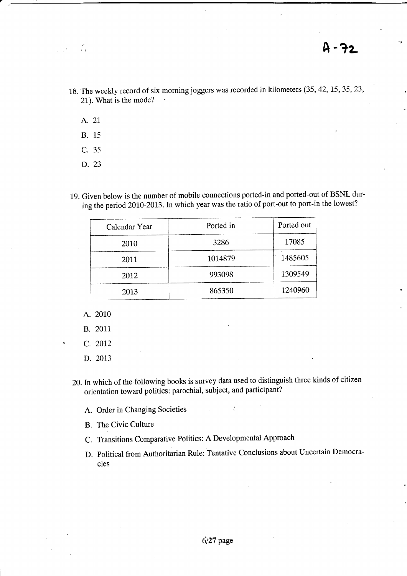- 18. The weekly record of six morning joggers was recorded in kilometers (35, 42, 15, 35, 23, 21). What is the mode?
	- A. <sup>21</sup>

ा<br>जन्म

군인

- B. <sup>15</sup>
- c. <sup>35</sup>
- D. 23
- 19. Given below is the number of mobile connections ported-in and ported-out of BSNL during the period 2010-2013. In which year was the ratio of port-out to port-in the lowest?

| Calendar Year | Ported in | Ported out |
|---------------|-----------|------------|
| 2010          | 3286      | 17085      |
| 2011          | 1014879   | 1485605    |
| 2012          | 993098    | 1309549    |
| 2013          | 865350    | 1240960    |

- A. 2010
- B. 2011.
- C. 2012
- D. 2013
- 20.Inwhich of the following books is survey data used to distinguish three kinds of citizen orientation toward politics: parochial, subject, and participant?
	- A. Order in Changing Societies  $\cdot$
	- B. The Civic Culture
	- c. Transitions comparative Politics: A Developmental Approach
	- D. political from Authoritarian Rule: Tentative Conclusions about Uncertain Democracies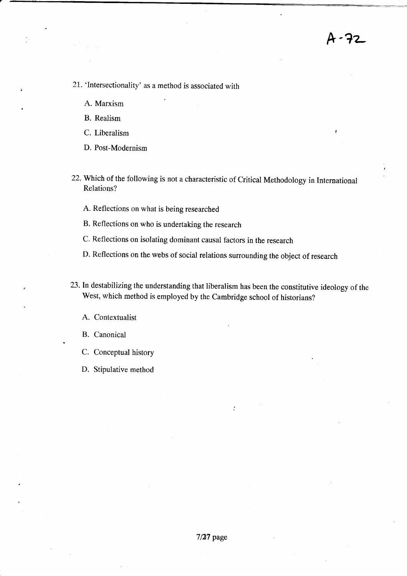A-72

- 21. 'lntersectionality' as a method is associated with
	- A. Marxism
	- B. Realism
	- C. Liberalism
	- D. Post-Modernism
- 22. Which of the following is not a characteristic of Critical Methodology in International Relations?
	- A. Reflections on what is being researched
	- B. Reflections on who is undertaking the research
	- c. Reflections on isolating dominant causal factors in the research
	- D. Reflections on the webs of social relations surrounding the object of research
- 73.In destabilizing the understanding that liberalism has been the constitutive ideology of the west, which method is employed by the cambridge school of historians?

 $\ddot{\cdot}$ 

- A. Contextualist
- B. Canonical
- C. Conceptual history
- D. Stipulative method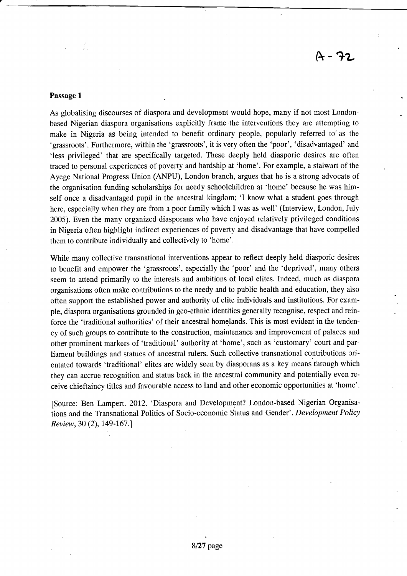## Passage I

As globalising discourses of diaspora and development would hope, many if not most Londonbased Nigerian diaspora organisations explicitly frame the interventions they are attempting to make in Nigeria as being intended to benefit ordinary people, popularly referred to'as the 'grassroots'. Furthermore, within the 'grassroots', it is very often the 'poor', 'disadvantaged' and 'less privileged' that are specifically targeted. These deeply held diasporic desires are often traced to personal experiences of poverty and hardship at 'home'. For example, a stalwart of the Ayege National Progress Union (ANPU), London branch, argues that he is a strong advocate of the organisation funding scholarships for needy schoolchildren at 'home' because he was himself once a disadvantaged pupil in the ancestral kingdom; 'I know what a student goes through here, especially when they are from a poor family which I was as well' (Interview, London, July 2005). Even the many organized diasporans who have enjoyed relatively privileged conditions in Nigeria often highlight indirect experiences of poverty and disadvantage that have compelled them to contribute individually and collectively to 'home'.

While many collective transnational interventions appear to reflect deeply held diasporic desires to benefit and empower the 'grassroots', especially the 'poor' and the 'deprived', many others seem to attend primarily to the interests and ambitions of local elites. Indeed, much as diaspora organisations often make contributions to the needy and to public health and education, they also often support the established power and authority of elite individuals and institutions. For example, diaspora organisations gounded in geo-ethnic identities generally recognise, respect and reinforce the 'traditional authorities' of their ancestral homelands. This is most evident in the tendency of such groups to contribute to the construction, maintenance and improvement of palaces and other prominent markers of 'traditional' authority at 'home', such as 'customary' court and parliament buildings and statues of ancestral rulers. Such ccllective transnational contributions orientated towards 'traditional' elites are widely seen by diasporans as a key means through which they can accrue recognition and status back in the ancestral community and potentiaily even receive chieftaincy titles and favourable access to land and other economic opportunities at 'home',

[Source: Ben Lampert. 2012.'Diaspora and Development? London-based Nigerian Organisations and the Transnational Politics of Socio-economic Status and Gender'. Development Policy Review, 30 (2), 149-167.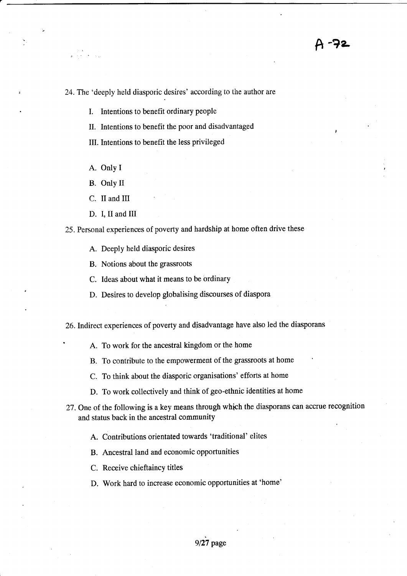<sup>A</sup>-?a

24. The 'deeply held diasporic desires' according to the author are

- I. Intentions to benefit ordinary people
- II. Intentions to benefit the poor and disadvantaged
- III. Intentions to benefit the less privileged
- A. Only I

- B. Only II
- C. II and III
- D. I, II and III

25. Personal experiences of poverty and hardship at home often drive these

- A. Deeply held diasporic desires
- B. Notions about the grassroots
- C. Ideas about what it means to be ordinary
- D. Desires to develop globalising discourses of diaspora

26. Indirect experiences of poverty and disadvantage have also led the diasporans

- A. To work for the ancestral kingdom or the home
- B. To contribute to the empowerment of the grassroots at home
- C. To think about the diasporic organisations' efforts at home
- D. To work collectively and think of geo-ethnic identities at home
- 27. One of the following is a key means through which the diasporans can accrue recognition and status back in the ancestral community
	- A. Contributions orientated towards'traditional' elites
	- B. Ancestral land and economic opportunities
	- C. Receive chieftaincy titles
	- D. Work hard to increase economic opportunities at 'home'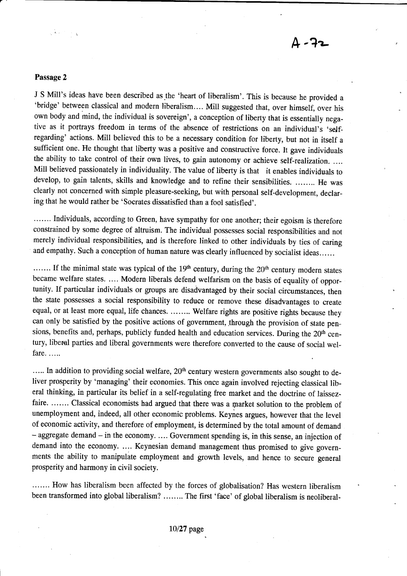#### Passage 2

J S Mill's ideas have been described as the 'heart of liberalism'. This is because he provided a 'bridge' between classical and modern liberalism.... Mill suggested that, over himself, over his own body and mind, the individual is sovereigr', a conception of liberty that is essentially negative as it portrays freedom in terms of the absence of restrictions on an individual's 'selfregarding' actions. Mill believed this to be a necessary condition for liberty, but not in itself <sup>a</sup> sufficient one. He thought that liberty was a positive and constructive force. It gave individuals the ability to take control of their own lives, to gain autonomy or achieve self-realization. .... Mill believed passionately in individuality. The value of liberty is that it enables individuals to develop, to gain talents, skills and knowledge and to refine their sensibilities. ........ He was clearly not concerned with simple pleasure-seeking, but with personal self-development, declaring that he would rather be 'Socrates dissatisfied than a fool satisfied'.

....... Individuals, according to Green, have sympathy for one another; their egoism is therefore constrained by some degree of altruism. The individual possesses social responsibilities and not merely individual responsibilities, and is therefore linked to other individuals by ties of caring and empathy. Such a conception of human nature was clearly influenced by socialist ideas......

....... If the minimal state was typical of the 19<sup>th</sup> century, during the 20<sup>th</sup> century modern states became welfare states. .... Modern liberals defend welfarism on the basis of equality of opportunity. If particular individuals or groups are disadvantaged by their social circumstances, then the state possesses a social responsibility to reduce or remove these disadvantages to create equal, or at least more equal, life chances. ........ Welfare rights are positive rights because they can only be satisfied by the positive actions of government, through the provision of state pensions, benefits and, perhaps, publicly funded health and education services. During the 20<sup>th</sup> century, liberel parties and liberal governments were therefore converted to the cause of social welfare.....

..... In addition to providing social welfare, 20<sup>th</sup> century western governments also sought to deliver prosperity by 'managing' their economies. This once again involved rejecting classical liberal thinking, in particular its belief in a self-regulating free market and the doctrine of laissezfaire. ....... Classical economists had argued that there was a market solution to the problem of unemployment and, indeed, all other economic problems. Keynes argues, however that the level of economic activity, and therefore of employment, is determined by the total amount of demand - aggregate demand - in the economy. .... Government spending is, in this sense, an injection of demand into the economy. .... Keynesian demand management thus promised to give governments the ability to manipulate employment and growth levels, and hence to secure general prosperity and harmony in civil society.

....... How has liberalism been affected by the forces of globalisation? Has western liberalism been transformed into global liberalism? ........ The first 'face' of global liberalism is neoliberal-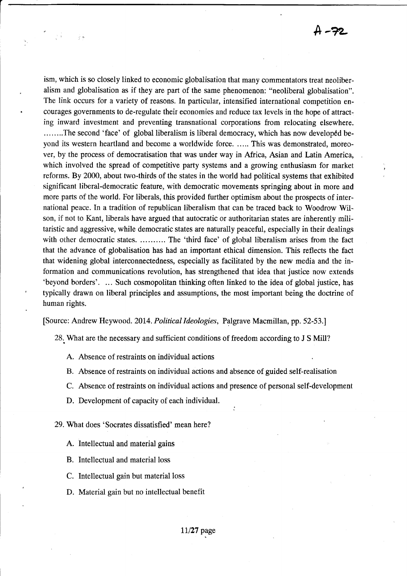h-72

ism, which is so closely linked to economic globalisation that many commentators treat neoliberalism and globalisation as if they are part of the same phenomenon: "neoliberal globalisation". The link occurs for a variety of reasons. In particular, intensified international competition encourages governments to de-regulate their economies and reduce tax levels in the hope of attracting inward investment and preventing transnational corporations from relocating elsewhere. ........The second 'face' of global liberalism is liberal democracy, which has now developed beyond its western heartland and become a worldwide force. ..... This was demonstrated, moreover, by the process of democratisation that was under way in Africa, Asian and Latin America, which involved the spread of competitive party systems and a growing enthusiasm for market reforms. By 2000, about two-thirds of the states in the world had political systems that exhibited significant liberal-democratic feature, with democratic movements springing about in more and more parts of the world. For liberals, this provided further optimism about the prospects of international peace. In a tradition of republican liberalism that can be traced back to Woodrow Wilson, if not to Kant, liberals have argued that autocratic or authoritarian states are inherently militaristic and aggressive, while democratic states are naturally peaceful, especially in their dealings with other democratic states. .......... The 'third face' of global liberalism arises from the fact that the advance of globalisation has had an important ethical dimension. This reflects the fact that widening global interconnectedness, especially as facilitated by the new media and the information and communications revolution, has strengthened that idea that justice now extends 'beyond borders'. ... Such cosmopolitan thinking often linked to the idea of global justice, has typically drawn on liberal principles and assumptions, the most important being the doctrine of human rights.

[Source: Andrew Heywood. 2014. Political ldeologies, Palgrave Macmillan, pp. 52-53.]

28. What are the necessary and sufficient conditions of freedom according to J S Mill?

- A. Absence of restraints on individual actions
- B. Absence of restraints on individual actions and absence of guided self-realisation
- C. Absence of restraints on individual actions and presence of personal self-development

:

D. Development of capacity of each individual.

29. What does 'Socrates dissatisfied' mean here?

- A. Intellectual and material gains
- B. Intellectual and material loss
- C. Intellectual gain but material loss
- D. Material gain but no intellectual benefit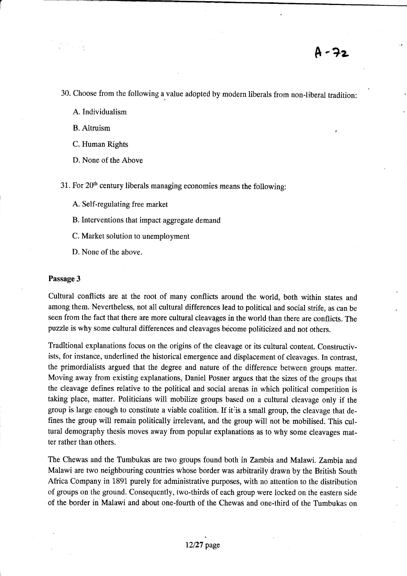30. Choose from the following a value adopted by modern liberals from non-liberal tradition:

A.Individualism

B. Altruism ,

C. Human Rights

D. None of the Above

31. For  $20<sup>th</sup>$  century liberals managing economies means the following:

A. Self-regulating free market

B. Interventions that impact aggregate demand

C. Market solution to unemployment

D. None of the above.

#### Passage 3

Cultural conflicts are at the root of many conflicts around the world, both within states and among them. Nevertheless, not all cultural differences lead to political and social strife, as can be seen from the fact that there are more cultural cleavages in the world than there are conflicts. The puzzle is why some cultural differences and cleavages become politicized and not others.

Traditional explanations focus on the origins of the cleavage or its cultural content. Constructivists, for instance, underlined the historical emergence and displacement of cleavages. In contrast, the primordialists argued that the degree and nature of the difference between groups matter. Moving away from existing explanations, Daniel Posner argues that the sizes of the groups that the cleavage defines relative to the political and social arenas in which political competition is taking place, matter. Politicians will mobilize groups based on a cultural cleavage only if the group is large enough to constitute a viable coalition. If it is a small group, the cleavage that defines the goup will remain politically irrelevant, and the group will not be mobilised. This cultural demography thesis moves away from popular explanations as to why some cleavages matter rather than others.

The Chewas and the Tumbukas are two groups found both in Zambia and Malawi. Zambia and Malawi are two neighbouring countries whose border was arbitrarily drawn by the British South Africa Company in 1891 purely for administrative purposes, with no attention to the distribution of groups on the ground. Consequently, two-thirds of each group were locked on the eastern side of the border in Malawi and about one-fourth of the Chewas and one-third of the Tumbukas on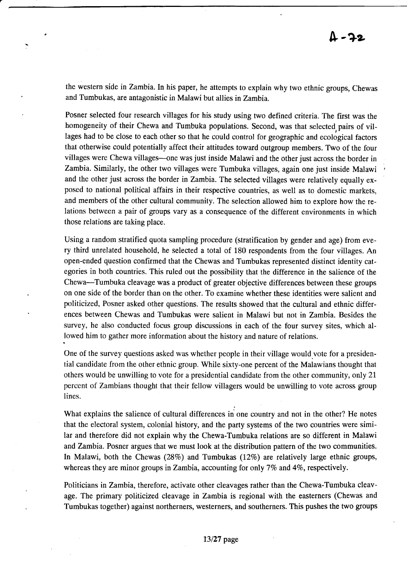the western side in Zambia. In his paper, he attempts to explain why two ethnic groups, Chewas and Tumbukas, are antagonistic in Malawi but allies inZambia.

Posner selected four research villages for his study using two defined criteria. The first was the homogeneity of their Chewa and Tumbuka populations. Second, was that selected, pairs of villages had to be close to each other so that he could control for geographic and ecological factors that otherwise could potentially affect their attitudes toward outgroup members. Two of the four villages were Chewa villages-one was just inside Malawi and the other just across the border in Zambia. Similarly, the other two villages were Tumbuka villages, again one just inside Malawi and the other just across the border in Zambia. The selected villages were relatively equally exposed to national political affairs in their respective countries, as well as to domestic markets, and members of the other cultural community. The selection allowed him to explore how the relations between a pair of groups vary as a consequence of the different environments in which those relations are taking place.

Using a random stratified quota sampling procedure (stratification by gender and age) from every third unrelated household, he selected a total of 180 respondents from the four villages. An open-ended question confirmed that the Chewas and Tumbukas represented distinct identity categories in both countries. This ruled out the possibility that the difference in the salience of the Chewa-Tumbuka cleavage was a product of greater objective differences between these groups on one side of the border than on the other. To examine whether these identities were salient and politicized, Posner asked other questions. The results showed that the cultural and ethnic differences between Chewas and Tumbukas were salient in Malawi but not in Zambia. Besides the survey, he also conducted focus group discussions in each of the four survey sites, which allowed him to gather more information about the history and nature of relations.

One of the survey questions asked was whether people in their village would vote for a presidential candidate from the other ethnic group. While sixty-one percent of the Malawians thought that others would be unwilling to vote for a presidential candidate from the other community, only 21" percent of. Zambians thought that their fellow villagers would be unwilling to vote across group lines.

What explains the salience of cultural differences in one country and not in the other? He notes that the electoral system, colonial history, and the party systems of the two countries were similar and therefore did not explain why the Chewa-Tumbuka relations are so different in Malawi and Zambia. Posner argues that we must look at the distribution pattern of the two communities. In Malawi, both the Chewas  $(28%)$  and Tumbukas  $(12%)$  are relatively large ethnic groups, whereas they are minor groups in Zambia, accounting for only 7% and 4%, respectively.

Politicians in Zambia, therefore, activate other cleavages rather than the Chewa-Tumbuka cleavage. The primary politicized cleavage in Zambia is regional with the easterners (Chewas and Tumbukas together) against northerners, westerners, and southerners. This pushes the two groups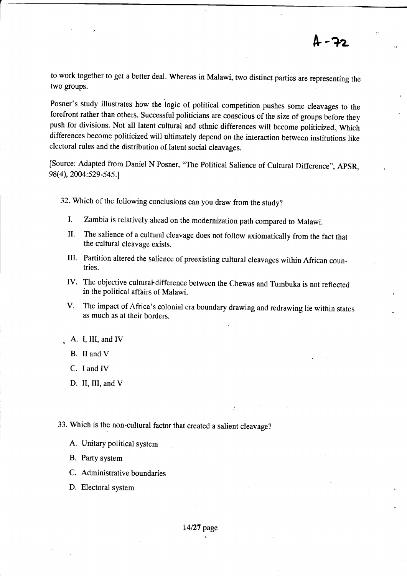to work together to get a better deal. Whereas in Malawi, two distinct parties are representing the two groups.

Posner's study illustrates how the iogic of political competition pushes some cleavages to the forefront rather than others. Successful politicians are conscious of the size of groups before they push for divisions. Not all latent cultural and ethnic differences will become politicized., Which differences become politicized will ultimately depend on the interaction between institutions like electoral rules and the distribution of latent social cleavages.

[Source: Adapted from Daniel N Posner, "The Political Salience of Cultural Difference", ApSR, 98(4), 2004:529-5a5.1

32. which of the following conclusions can you draw from the study?

- I. Zambia is relatively ahead on the modernization path compared to Malawi.
- II. The salience of a cultural cleavage does not follow axiomatically from the fact that the cultural cleavage exists.
- III. Partition altered the salience of preexisting cultural cleavages within African countries.
- IV. The objective cultural difference between the Chewas and Tumbuka is not reflected in the political affairs of Malawi.
- V. The impact of Africa's colonial era boundary drawing and redrawing lie within states as much as at their borders.

:

- A. I, III, and IV
- B. II and V
- C. I and IV
- D. II, III, and V
- 33. which is the non-cultural factor that created a salient cleavage?
	- A. Unitary political system
	- B. Party system
	- C. Administrative boundaries
	- D. Electoral system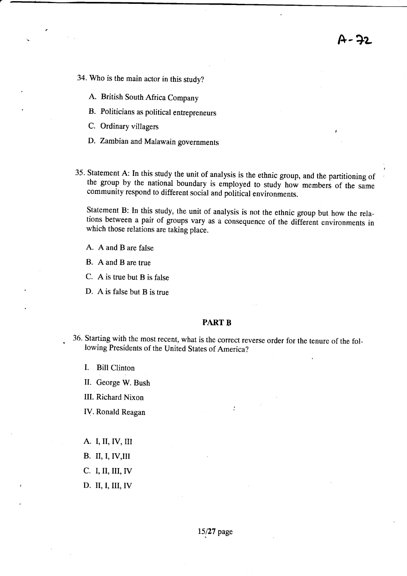A-?z

- 34. Who is the main actor in this study?
	- A. British South Africa Company
	- B. Politicians as political entrepreneurs
	- C. Ordinary villagers
	- D. Zambian and Malawain governments
- 35. Statement A: In this study the unit of analysis is the ethnic group, and the partitioning of the group by the national boundary is employed to study how members of the same community respond to different social and political environments.

Statement B: In this study, the unit of analysis is not the ethnic group but how the relations between a pair of groups vary as a consequence of the different environments in which those relations are taking place.

- A. A and B are false
- B. A and B are true
- C. A is true but B is false
- D. A is false but B is true

#### PART B

36- Starting with the most recent, what is the correct reverse order for the tenure of the following Presidents of the United States of America?

 $\ddot{\cdot}$ 

I. Bill Clinton

.

- II. George W. Bush
- III. Richard Nixon
- IV. Ronald Reagan
- A. I,II, IV,III
- B. II, I, IV,III
- C. I, II, III, IV
- D. II, I, III,IV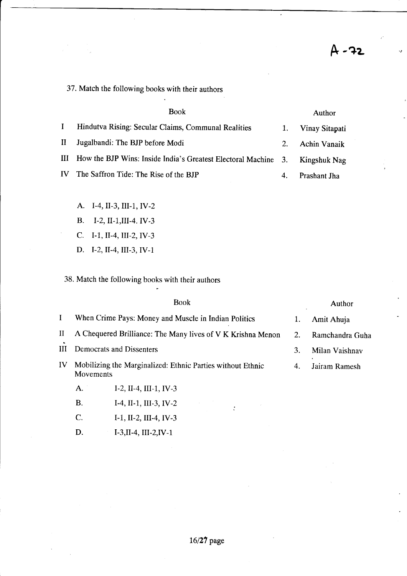37. Match the following books with their authors

|              | <b>Book</b>                                                    |         | Author              |
|--------------|----------------------------------------------------------------|---------|---------------------|
| $\bf{I}$     | Hindutva Rising: Secular Claims, Communal Realities            |         | Vinay Sitapati      |
| $\mathbf{H}$ | Jugalbandi: The BJP before Modi                                | $2_{-}$ | <b>Achin Vanaik</b> |
| Ш            | How the BJP Wins: Inside India's Greatest Electoral Machine 3. |         | Kingshuk Nag        |
| IV           | The Saffron Tide: The Rise of the BJP                          | 4.      | Prashant Jha        |

- A. I-4, II-3, III-1, IV-2
- B. I-2, II-1, III-4. IV-3
- c. I-1, II-4, III-2,IV-3
- D. I-2,1I-4,III-3, IV-1

38. Match the following books with their authors

|          | Book                                                                    |  | Author          |
|----------|-------------------------------------------------------------------------|--|-----------------|
| $\bf{I}$ | When Crime Pays: Money and Muscle in Indian Politics                    |  | Amit Ahuja      |
| $\rm II$ | A Chequered Brilliance: The Many lives of V K Krishna Menon             |  | Ramchandra Guha |
| Ш        | Democrats and Dissenters                                                |  | Milan Vaishnav  |
| IV       | Mobilizing the Marginalized: Ethnic Parties without Ethnic<br>Movements |  | Jairam Ramesh   |
|          | I-2, II-4, III-1, IV-3<br>A.                                            |  |                 |

 $\ddot{\cdot}$ 

- B. I-4, II-1, III-3, IV-2
- C. I-1, II-2, III-4, IV-3
- D. I-3,II-4,III-2,IV-l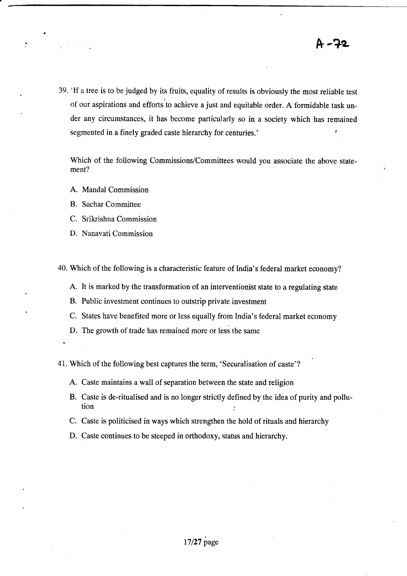39. 'lf a tree is to be judged by its fruits, equality of resuits is obviously the most reliable test of our aspirations and efforts to achieve a just and equitable order. A formidable task under any circumstances, it has become particularly so in a society which has remained segmented in a finely graded caste hierarchy for centuries.'

Which of the following Commissions/Committees would you associate the above statement?

- A. Mandal Commission
- B. Sachar Committee
- C. SrikrishnaCommission
- D. Nanavati Commission

40. Which of the following is a characteristic feature of India's federal market economy?

- A. It is marked by the transformation of an interventionist state to a regulating state
- B. Public investment continues to outstrip private investment
- C. States have benefited more or less equally from India's federal market economy
- D. The growth of trade has remained more or less the same

41. Which of the following best captures the term, 'securalisation of caste'?

- A. Caste maintains a wall of separation between the state and religion
- B. Caste is de-ritualised and is no longer strictly defined by the idea of purity and pollu- $\frac{1}{2}$  ion
- C. Caste is politicised in ways which strengthen the hold of rituals and hierarchy
- D. Caste continues to be steeped in orthodoxy, status and hierarchy.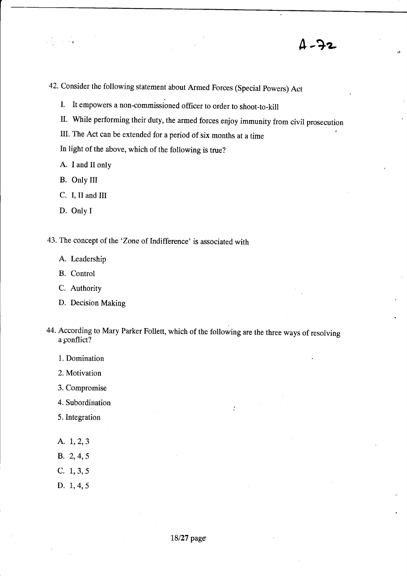$1 - 72$ 

42. Consider the following statement about Armed Forces (Special powers) Act

I. It empowers a non-commissioned officer to order to shoot-to-kill

II. While performing their duty, the armed forces enjoy immunity from civil prosecution

III. The Act can be extended for a period of six months at a time

In light of the above, which of the following is true?

A. I and II only

B. Only III

C. I, II and III

D. Only I

43. The concept of the 'Zone of Indifference' is associated with

A. Leadership

B. Control

C. Authority

D. Decision Making

44. According to Mary Parker Follett, which of the following are the three ways of resolving a conflict?

1. Domination

2. Motivation

3. Compromise

4. Subordination

5. Integration

A. I,2,3

B. 2, 4, 5

C. 1, 3, 5

D. I,4,5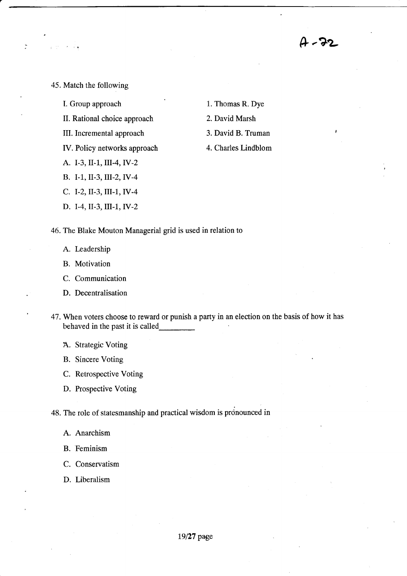Ar-7L

45. Match the following

Ď

- I. Group approach
- II. Rational choice approach
- IlL lncremental approach
- IV. Policy networks approach
- A. I-3, II-1, III-4, IV-2
- B. I-1, lr-3, lll-2, lY -4
- C. I-2, II-3, III-1, IV-4
- D. T-4, II-3, III-1, IV-2
- 1. Thomas R. Dye
- 2. David Marsh
- 3. David B. Truman
- 4. Charles Lindblom

46. The Blake Mouton Managerial grid is used in relation to

- A. Leadership
- B. Motivation
- C. Communication
- D. Decentralisation
- 47. When voters choose to reward or punish a party in an election on the basis of how it has behaved in the past it is called
	- A. Strategic Voting
	- B. Sincere Voting
	- C. Retrospective Voting
	- D. Prospective Voting

48. The role of statesmanship and practical wisdom is pronounced in

- A. Anarchism
- B. Feminism
- C. Conservatism
- D. Liberalism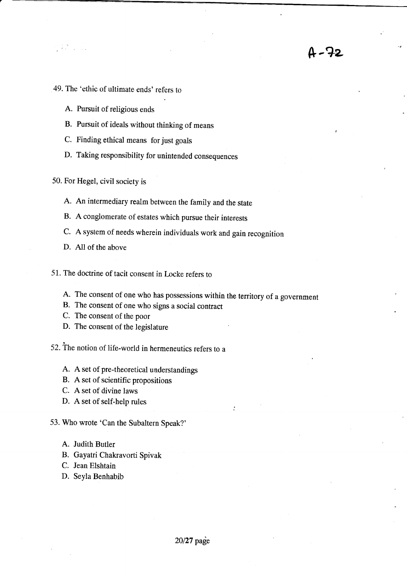- 49. The 'ethic of ultimate ends' refers to
	- A. Pursuit of religious ends
	- B. Pursuit of ideals without thinking of means
	- C. Finding ethical means for just goals
	- D. Taking responsibility for unintended consequences
- 50. For Hegel, civil society is
	- A. An intermediary realm between the family and the state
	- B. A conglomerate of estates which pursue their interests
	- c. A system of needs wherein individuals work and gain recognition
	- D. All of the above
- 51. The doctrine of tacit consent in Locke refers to
	- A. The consent of one who has possessions within the territory of a government

;

h-?z

- B. The consent of one who signs a social contract
- C. The consent of the poor
- D. The consent of the legislature

52. fhe notion of life-world in hermeneutics refers to <sup>a</sup>

- A. A set of pre-theoretical understandings
- B. A set of scientific propositions
- C. A set of divine laws
- D. A set of self-help rules
- 53. Who wrote 'Can the Subaltern Speak?'
	- A. Judith Butler
	- B. Gayatri Chakavorti Spivak
	- C. Jean Elshtain
	- D. Seyla Benhabib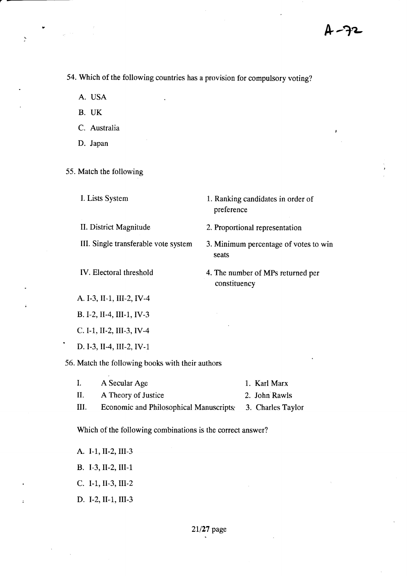54. which of the following countries has a provision for compulsory voting?

preference

constituency

seats

A. USA

 $\ddot{\phantom{a}}$ 

- B. UK
- C. Australia
- D. Japan

55. Match the following

I. Lists System 1. Ranking candidates in order of

II. District Magnitude 2. Proportional representation

III. Single transferable vote system 3. Minimum percentage of votes to win

IV. Electoral threshold 4. The number of MPs returned per

A. I-3, II-1, III-2, IV-4

B, T-2, II.4, III-1, IV-3

c. I-1, Il-2, III-3, IV -4

D. I-3, II-4, III-2, IV-1.

56. Match the following books with their authors

|        | A Secular Age                                             | 1. Karl Marx  |
|--------|-----------------------------------------------------------|---------------|
| - П. – | A Theory of Justice                                       | 2. John Rawls |
| Ш.     | Economic and Philosophical Manuscripts: 3. Charles Taylor |               |

Which of the following combinations is the correct answer?

A. I-1, II-2, III-3 B. I-3,II-2, III-1

c. I-1,II-3, III-2

D. I-2, II-1, III-3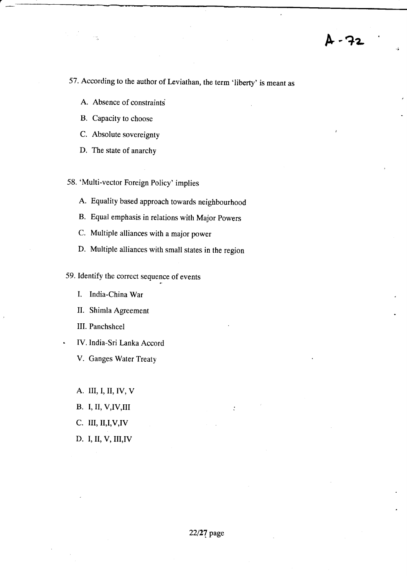57. According to the author of Leviathan, the term 'liberty' is meant as

- A. Absence of constraints
- B. Capacity to choose
- C. Absolute sovereignty
- D. The state of anarchy

58. 'Multi-vector Foreign Policy' implies

- A. Equality based approach towards neighbourhood
- B. Equal emphasis in relations with Major powers
- C. Multiple alliances with a major power
- D. Multiple alliances with small states in the region

59. Identify the correct sequence of events

I. India-China War

II. Shimla Agreement

III. Panchsheel

- IV. India-Sri Lanka Accord
- V. Ganges Water Treaty

A. lII, I, II, IV, V

- **B.** I, II, V, IV, III
- C. III, II, I, V, IV
- D. I, II, V, III, IV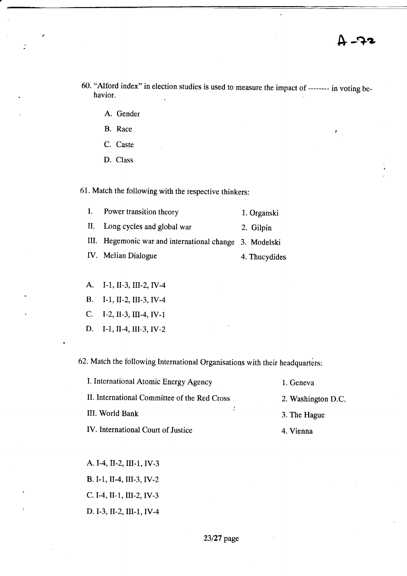- 60. "Alford index" in election studies is used to measure the impact of -------- in voting behavior.
	- A. Gender
	- $B.$  Race  $\qquad \qquad \blacksquare$
	- C. Caste
	- D. Class

61. Match the following with the respective thinkers:

| I. Power transition theory                              | 1. Organski   |
|---------------------------------------------------------|---------------|
| II. Long cycles and global war                          | 2. Gilpin     |
| III. Hegemonic war and international change 3. Modelski |               |
| IV. Melian Dialogue                                     | 4. Thucydides |
|                                                         |               |

- A. I-1, II-3, III-2, IV-4
- B. l-I,II-2,lII-3,IV-4
- C. T-2,II-3,III-4,IV-1
- D. I-1, II-4, III-3, IV-2

62.Match the following International Organisations with their headquarters:

| I. International Atomic Energy Agency        | 1. Geneva          |
|----------------------------------------------|--------------------|
| II. International Committee of the Red Cross | 2. Washington D.C. |
| III. World Bank                              | 3. The Hague       |
| IV. International Court of Justice           | 4. Vienna          |

A. I-4, II.2, III-1, IV-3 B. I-1,, II-4, III-3, IV-2 c.I-4,II-1, UI-2,IV-3 D. I-3, II-2, III-1, IV-4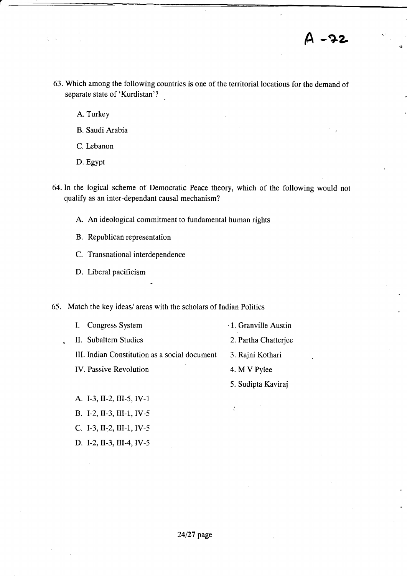4 -72

63. Which among the following countries is one of the territorial locations for the demand of separate state of 'Kurdistan'?

A. Turkey

r

-

- B. Saudi Arabia
- C. Lebanon
- D. Egypt
- 64. In the logical scheme of Democratic Peace theory, which of the following would not qualify as an inter-dependant causal mechanism?
	- A. An ideological commitment to fundamental human rights
	- B. Republican representation
	- C. Transnational interdependence
	- D. Liberal pacificism
- 65. Match the key ideas/ areas with the scholars of Indian Politics

| Congress System                               | 1. Granville Austin  |
|-----------------------------------------------|----------------------|
| II. Subaltern Studies                         | 2. Partha Chatterjee |
| III. Indian Constitution as a social document | 3. Rajni Kothari     |
| <b>IV.</b> Passive Revolution                 | 4. M V Pylee         |
|                                               | 5. Sudipta Kaviraj   |
| A. I-3, II-2, III-5, IV-1                     |                      |
| B. I-2, II-3, III-1, IV-5                     |                      |

- c. I-3, II-2, III-1, IV-5
- D. I-2, II-3, III-4, IV-5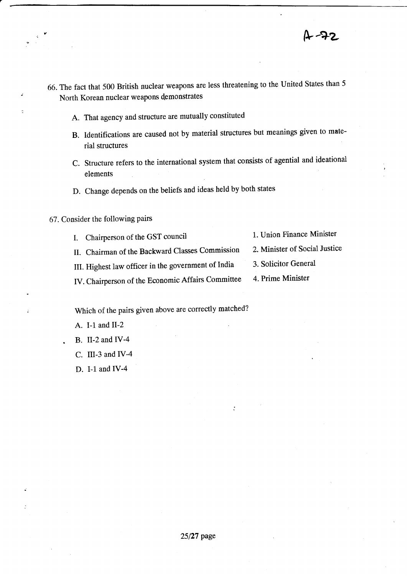$2 - 72$ 

- 66. The fact that 500 British nuclear weapons are less threatening to the United States than <sup>5</sup> North Korean nuclear weapons demonstrates
	- A. That agency and structure are mutually constituted
	- B. Identifications are caused not by material structures but meanings given to material structures
	- C. Structure refers to the international system that consists of agential and ideational elements
	- D. Change depends on the beliefs and ideas held by both states
- 67. Consider the following Pairs
	- I. Chairperson of the GST council 1. Union Finance Minister
	- II. Chairman of the Backward Classes Commission 2. Minister of Social Justice
	- III. Highest law officer in the government of India 3. Solicitor General
	- IV. Chairperson of the Economic Affairs Committee 4. Prime Minister
- 
- 
- 
- 

Which of the pairs given above are correctly matched?

- A. I-1 and II-2
- . B. II-2 and IV-4
- C. III-3 and IV-4
- D. I-1 and IV-4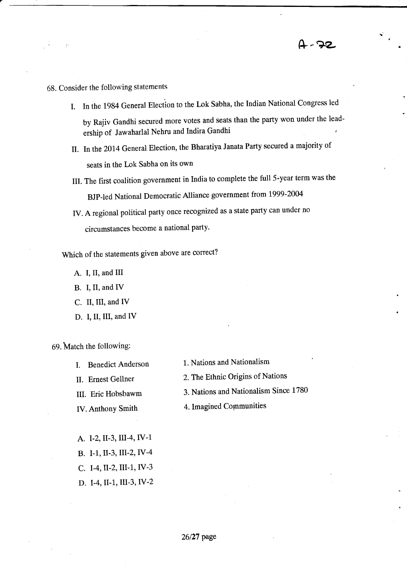# 58. Consider the following statements

- I. In the 1984 General Election to the Lok Sabha, the Indian National Congress led by Rajiv Gandhi secured more votes and seats than the party won under the leadi ership of Jawaharlal Nehru and Indira Gandhi
- II. In the 2014 General Election, the Bharatiya Janata Party secured a majority of seats in the l,ok Sabha on its own
- III. The first coalition government in India to complete the full5-year term was the BJp-led National Democratic Alliance government from t999-2004
- IV. A regional political party once recognized as a state party can under no circumstances become a national party.

Which of the statements given above are correct?

- A. I, II, and III
- B. I, II, and IV
- C. II, III, and IV
- D. I, II, III, and IV

69. Match the following:

- 
- 
- 
- 
- I. Benedict Anderson 1. Nations and Nationalism
- II. Ernest Gellner 2. The Ethnic Origins of Nations
- III. Eric Hobsbawm 3. Nations and Nationalism Since 1780
- IV. Anthony Smith 4. Imagined Communities
- A. l-z,II-3, III-4, IV-1 B. I-1, II-3, III-2, IV-4 C. I-4, II-2, III-1, IV-3 D. I-4, II-1., UI-3, IV-2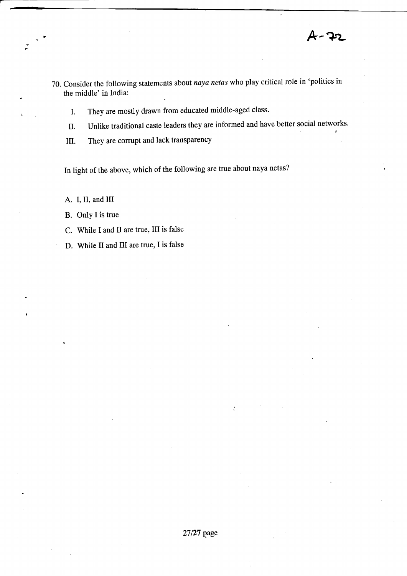人 - 7:

- 70. Consider the following statements about naya netas who play critical role in 'politics in the middle' in India:
	- I. They are mostly drawn from educated middle-aged class.
	- U. Unlike traditional caste leaders they are informed and have better social networks.
	- il. They are corrupt and lack transparency

In light of the above, which of the following are true about naya netas?

A. I, II, and III

B. Only I is true

C. While I and II are true, III is false

D. While II and III are true, I is false